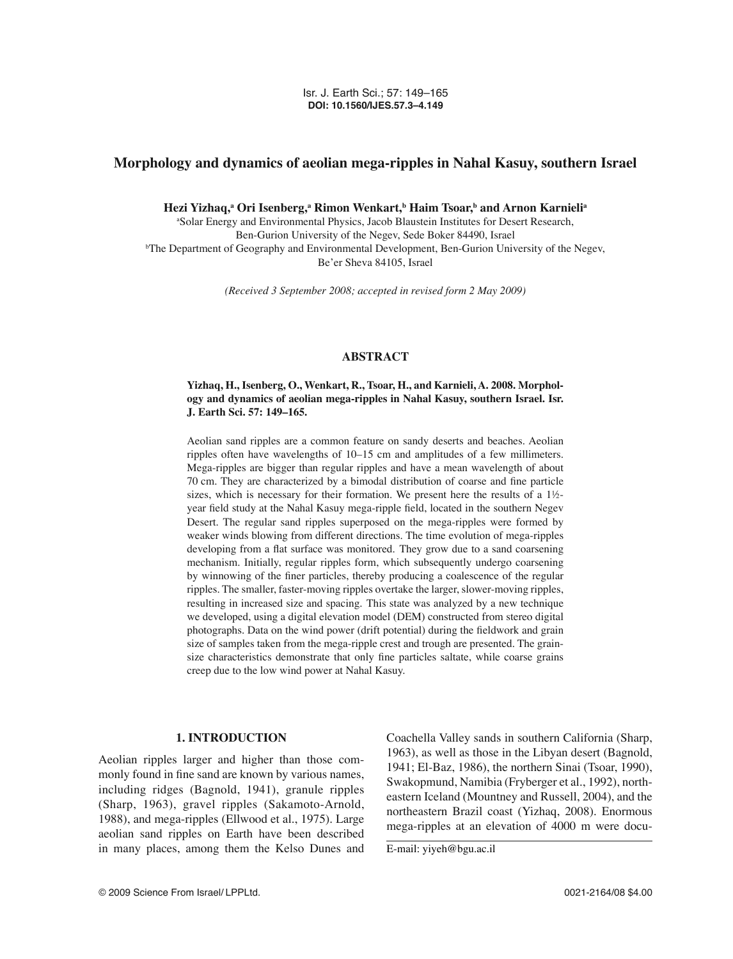Isr. J. Earth Sci.; 57: 149–165 **DOI: 10.1560/IJES.57.3–4.149**

# **Morphology and dynamics of aeolian mega-ripples in Nahal Kasuy, southern Israel**

**Hezi Yizhaq,<sup>a</sup> Ori Isenberg,<sup>a</sup> Rimon Wenkart,<sup>b</sup> Haim Tsoar,<sup>b</sup> and Arnon Karnieli<sup>a</sup>**

<sup>a</sup>Solar Energy and Environmental Physics, Jacob Blaustein Institutes for Desert Research, Ben-Gurion University of the Negev, Sede Boker 84490, Israel <sup>b</sup>The Department of Geography and Environmental Development, Ben-Gurion University of the Negev, Be'er Sheva 84105, Israel

*(Received 3 September 2008; accepted in revised form 2 May 2009)*

## **AbsTRAcT**

## **Yizhaq, H., Isenberg, O., Wenkart, R., Tsoar, H., and Karnieli, A. 2008. Morphology and dynamics of aeolian mega-ripples in Nahal Kasuy, southern Israel. Isr. J. Earth sci. 57: 149–165.**

Aeolian sand ripples are a common feature on sandy deserts and beaches. Aeolian ripples often have wavelengths of 10–15 cm and amplitudes of a few millimeters. Mega-ripples are bigger than regular ripples and have a mean wavelength of about 70 cm. They are characterized by a bimodal distribution of coarse and fine particle sizes, which is necessary for their formation. We present here the results of a  $1\frac{1}{2}$ year field study at the Nahal Kasuy mega-ripple field, located in the southern Negev Desert. The regular sand ripples superposed on the mega-ripples were formed by weaker winds blowing from different directions. The time evolution of mega-ripples developing from a flat surface was monitored. They grow due to a sand coarsening mechanism. Initially, regular ripples form, which subsequently undergo coarsening by winnowing of the finer particles, thereby producing a coalescence of the regular ripples. The smaller, faster-moving ripples overtake the larger, slower-moving ripples, resulting in increased size and spacing. This state was analyzed by a new technique we developed, using a digital elevation model (DEM) constructed from stereo digital photographs. Data on the wind power (drift potential) during the fieldwork and grain size of samples taken from the mega-ripple crest and trough are presented. The grainsize characteristics demonstrate that only fine particles saltate, while coarse grains creep due to the low wind power at Nahal Kasuy.

## **1. INTROducTION**

Aeolian ripples larger and higher than those commonly found in fine sand are known by various names, including ridges (Bagnold, 1941), granule ripples (Sharp, 1963), gravel ripples (Sakamoto-Arnold, 1988), and mega-ripples (Ellwood et al., 1975). Large aeolian sand ripples on Earth have been described in many places, among them the Kelso Dunes and

Coachella Valley sands in southern California (Sharp, 1963), as well as those in the Libyan desert (Bagnold, 1941; El-Baz, 1986), the northern Sinai (Tsoar, 1990), Swakopmund, Namibia (Fryberger et al., 1992), northeastern Iceland (Mountney and Russell, 2004), and the northeastern Brazil coast (Yizhaq, 2008). Enormous mega-ripples at an elevation of 4000 m were docu-

E-mail: yiyeh@bgu.ac.il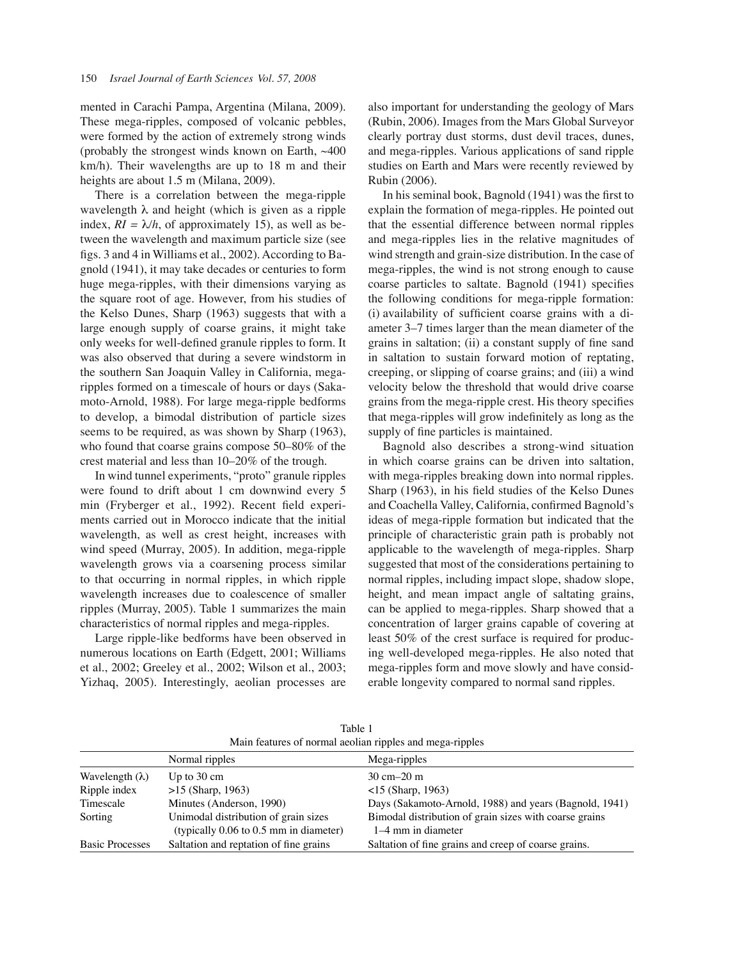mented in Carachi Pampa, Argentina (Milana, 2009). These mega-ripples, composed of volcanic pebbles, were formed by the action of extremely strong winds (probably the strongest winds known on Earth, ~400 km/h). Their wavelengths are up to 18 m and their heights are about 1.5 m (Milana, 2009).

There is a correlation between the mega-ripple wavelength  $\lambda$  and height (which is given as a ripple index,  $RI = \lambda/h$ , of approximately 15), as well as between the wavelength and maximum particle size (see figs. 3 and 4 in Williams et al., 2002). According to Bagnold (1941), it may take decades or centuries to form huge mega-ripples, with their dimensions varying as the square root of age. However, from his studies of the Kelso Dunes, Sharp (1963) suggests that with a large enough supply of coarse grains, it might take only weeks for well-defined granule ripples to form. It was also observed that during a severe windstorm in the southern San Joaquin Valley in California, megaripples formed on a timescale of hours or days (Sakamoto-Arnold, 1988). For large mega-ripple bedforms to develop, a bimodal distribution of particle sizes seems to be required, as was shown by Sharp (1963), who found that coarse grains compose 50–80% of the crest material and less than 10–20% of the trough.

In wind tunnel experiments, "proto" granule ripples were found to drift about 1 cm downwind every 5 min (Fryberger et al., 1992). Recent field experiments carried out in Morocco indicate that the initial wavelength, as well as crest height, increases with wind speed (Murray, 2005). In addition, mega-ripple wavelength grows via a coarsening process similar to that occurring in normal ripples, in which ripple wavelength increases due to coalescence of smaller ripples (Murray, 2005). Table 1 summarizes the main characteristics of normal ripples and mega-ripples.

Large ripple-like bedforms have been observed in numerous locations on Earth (Edgett, 2001; Williams et al., 2002; Greeley et al., 2002; Wilson et al., 2003; Yizhaq, 2005). Interestingly, aeolian processes are also important for understanding the geology of Mars (Rubin, 2006). Images from the Mars Global Surveyor clearly portray dust storms, dust devil traces, dunes, and mega-ripples. Various applications of sand ripple studies on Earth and Mars were recently reviewed by Rubin (2006).

In his seminal book, Bagnold (1941) was the first to explain the formation of mega-ripples. He pointed out that the essential difference between normal ripples and mega-ripples lies in the relative magnitudes of wind strength and grain-size distribution. In the case of mega-ripples, the wind is not strong enough to cause coarse particles to saltate. Bagnold (1941) specifies the following conditions for mega-ripple formation: (i) availability of sufficient coarse grains with a diameter 3–7 times larger than the mean diameter of the grains in saltation; (ii) a constant supply of fine sand in saltation to sustain forward motion of reptating, creeping, or slipping of coarse grains; and (iii) a wind velocity below the threshold that would drive coarse grains from the mega-ripple crest. His theory specifies that mega-ripples will grow indefinitely as long as the supply of fine particles is maintained.

Bagnold also describes a strong-wind situation in which coarse grains can be driven into saltation, with mega-ripples breaking down into normal ripples. Sharp (1963), in his field studies of the Kelso Dunes and Coachella Valley, California, confirmed Bagnold's ideas of mega-ripple formation but indicated that the principle of characteristic grain path is probably not applicable to the wavelength of mega-ripples. Sharp suggested that most of the considerations pertaining to normal ripples, including impact slope, shadow slope, height, and mean impact angle of saltating grains, can be applied to mega-ripples. Sharp showed that a concentration of larger grains capable of covering at least 50% of the crest surface is required for producing well-developed mega-ripples. He also noted that mega-ripples form and move slowly and have considerable longevity compared to normal sand ripples.

|                                                          | Table 1 |  |
|----------------------------------------------------------|---------|--|
| Main features of normal aeolian ripples and mega-ripples |         |  |

| Normal ripples                             | Mega-ripples                                           |
|--------------------------------------------|--------------------------------------------------------|
| Up to $30 \text{ cm}$                      | $30 \text{ cm} - 20 \text{ m}$                         |
| $>15$ (Sharp, 1963)                        | $<$ 15 (Sharp, 1963)                                   |
| Minutes (Anderson, 1990)                   | Days (Sakamoto-Arnold, 1988) and years (Bagnold, 1941) |
| Unimodal distribution of grain sizes       | Bimodal distribution of grain sizes with coarse grains |
| (typically $0.06$ to $0.5$ mm in diameter) | $1-4$ mm in diameter                                   |
| Saltation and reptation of fine grains     | Saltation of fine grains and creep of coarse grains.   |
|                                            |                                                        |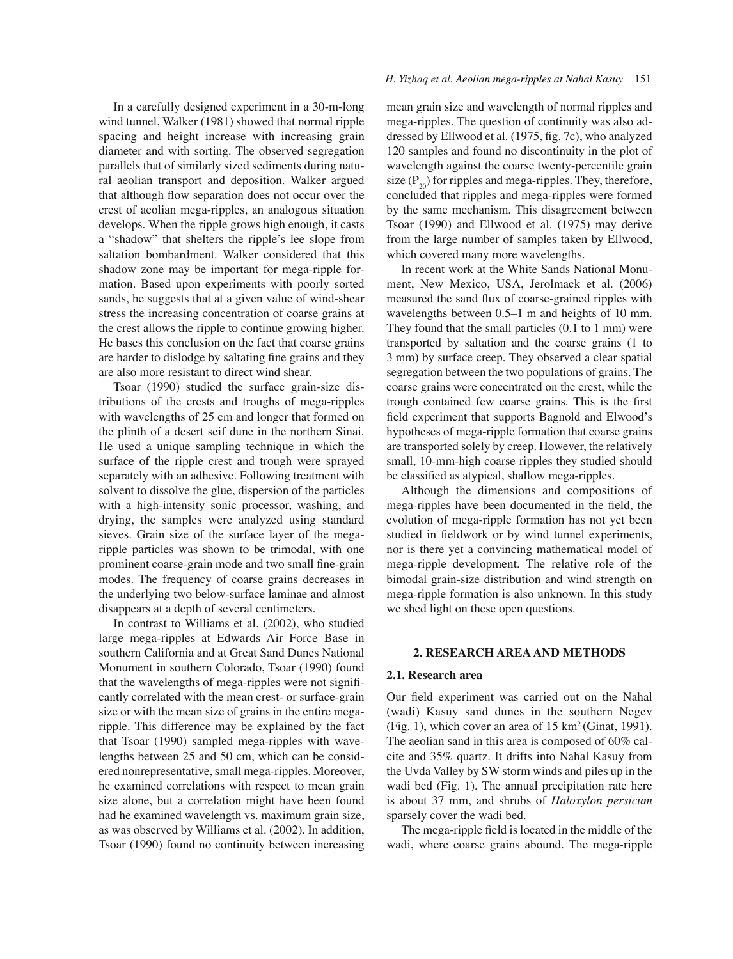In a carefully designed experiment in a 30-m-long wind tunnel, Walker (1981) showed that normal ripple spacing and height increase with increasing grain diameter and with sorting. The observed segregation parallels that of similarly sized sediments during natural aeolian transport and deposition. Walker argued that although flow separation does not occur over the crest of aeolian mega-ripples, an analogous situation develops. When the ripple grows high enough, it casts a "shadow" that shelters the ripple's lee slope from saltation bombardment. Walker considered that this shadow zone may be important for mega-ripple formation. Based upon experiments with poorly sorted sands, he suggests that at a given value of wind-shear stress the increasing concentration of coarse grains at the crest allows the ripple to continue growing higher. He bases this conclusion on the fact that coarse grains are harder to dislodge by saltating fine grains and they are also more resistant to direct wind shear.

Tsoar (1990) studied the surface grain-size distributions of the crests and troughs of mega-ripples with wavelengths of 25 cm and longer that formed on the plinth of a desert seif dune in the northern Sinai. He used a unique sampling technique in which the surface of the ripple crest and trough were sprayed separately with an adhesive. Following treatment with solvent to dissolve the glue, dispersion of the particles with a high-intensity sonic processor, washing, and drying, the samples were analyzed using standard sieves. Grain size of the surface layer of the megaripple particles was shown to be trimodal, with one prominent coarse-grain mode and two small fine-grain modes. The frequency of coarse grains decreases in the underlying two below-surface laminae and almost disappears at a depth of several centimeters.

In contrast to Williams et al. (2002), who studied large mega-ripples at Edwards Air Force Base in southern California and at Great Sand Dunes National Monument in southern Colorado, Tsoar (1990) found that the wavelengths of mega-ripples were not significantly correlated with the mean crest- or surface-grain size or with the mean size of grains in the entire megaripple. This difference may be explained by the fact that Tsoar (1990) sampled mega-ripples with wavelengths between 25 and 50 cm, which can be considered nonrepresentative, small mega-ripples. Moreover, he examined correlations with respect to mean grain size alone, but a correlation might have been found had he examined wavelength vs. maximum grain size, as was observed by Williams et al. (2002). In addition, Tsoar (1990) found no continuity between increasing

### *H. Yizhaq et al. Aeolian mega-ripples at Nahal Kasuy* 151

mean grain size and wavelength of normal ripples and mega-ripples. The question of continuity was also addressed by Ellwood et al. (1975, fig. 7c), who analyzed 120 samples and found no discontinuity in the plot of wavelength against the coarse twenty-percentile grain size  $(P_{20})$  for ripples and mega-ripples. They, therefore, concluded that ripples and mega-ripples were formed by the same mechanism. This disagreement between Tsoar (1990) and Ellwood et al. (1975) may derive from the large number of samples taken by Ellwood, which covered many more wavelengths.

In recent work at the White Sands National Monument, New Mexico, USA, Jerolmack et al. (2006) measured the sand flux of coarse-grained ripples with wavelengths between 0.5–1 m and heights of 10 mm. They found that the small particles (0.1 to 1 mm) were transported by saltation and the coarse grains (1 to 3 mm) by surface creep. They observed a clear spatial segregation between the two populations of grains. The coarse grains were concentrated on the crest, while the trough contained few coarse grains. This is the first field experiment that supports Bagnold and Elwood's hypotheses of mega-ripple formation that coarse grains are transported solely by creep. However, the relatively small, 10-mm-high coarse ripples they studied should be classified as atypical, shallow mega-ripples.

Although the dimensions and compositions of mega-ripples have been documented in the field, the evolution of mega-ripple formation has not yet been studied in fieldwork or by wind tunnel experiments, nor is there yet a convincing mathematical model of mega-ripple development. The relative role of the bimodal grain-size distribution and wind strength on mega-ripple formation is also unknown. In this study we shed light on these open questions.

## **2. REsEARcH AREA ANd METHOds**

### **2.1. Research area**

Our field experiment was carried out on the Nahal (wadi) Kasuy sand dunes in the southern Negev (Fig. 1), which cover an area of  $15 \text{ km}^2$  (Ginat, 1991). The aeolian sand in this area is composed of 60% calcite and 35% quartz. It drifts into Nahal Kasuy from the Uvda Valley by SW storm winds and piles up in the wadi bed (Fig. 1). The annual precipitation rate here is about 37 mm, and shrubs of *Haloxylon persicum* sparsely cover the wadi bed.

The mega-ripple field is located in the middle of the wadi, where coarse grains abound. The mega-ripple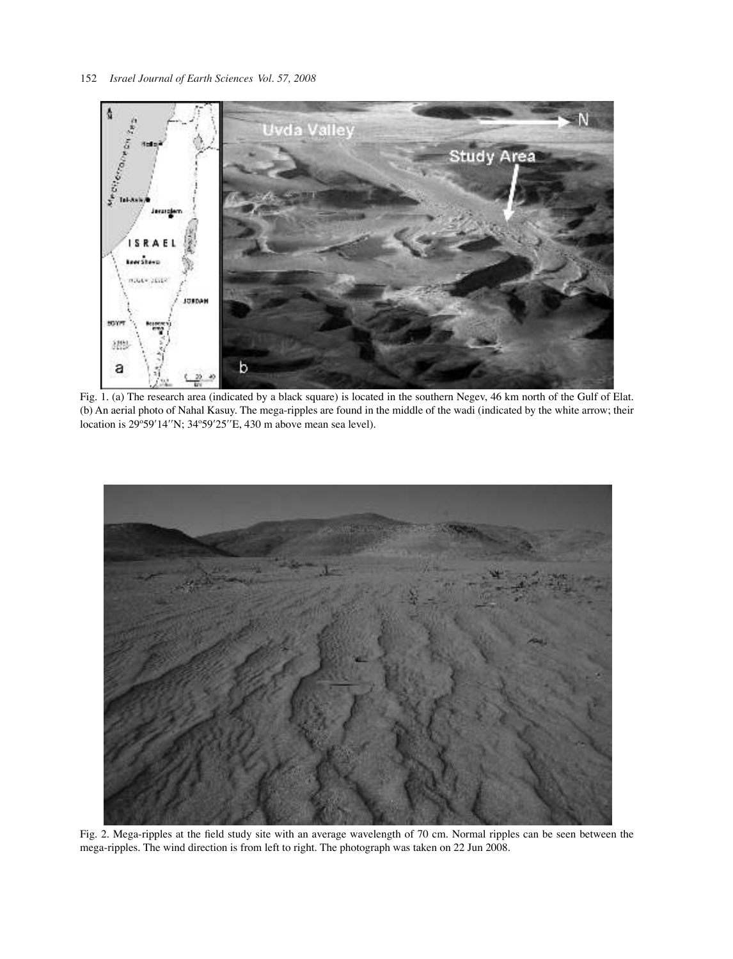

Fig. 1. (a) The research area (indicated by a black square) is located in the southern Negev, 46 km north of the Gulf of Elat. (b) An aerial photo of Nahal Kasuy. The mega-ripples are found in the middle of the wadi (indicated by the white arrow; their location is 29°59′14′′N; 34°59′25′′E, 430 m above mean sea level).



Fig. 2. Mega-ripples at the field study site with an average wavelength of 70 cm. Normal ripples can be seen between the mega-ripples. The wind direction is from left to right. The photograph was taken on 22 Jun 2008.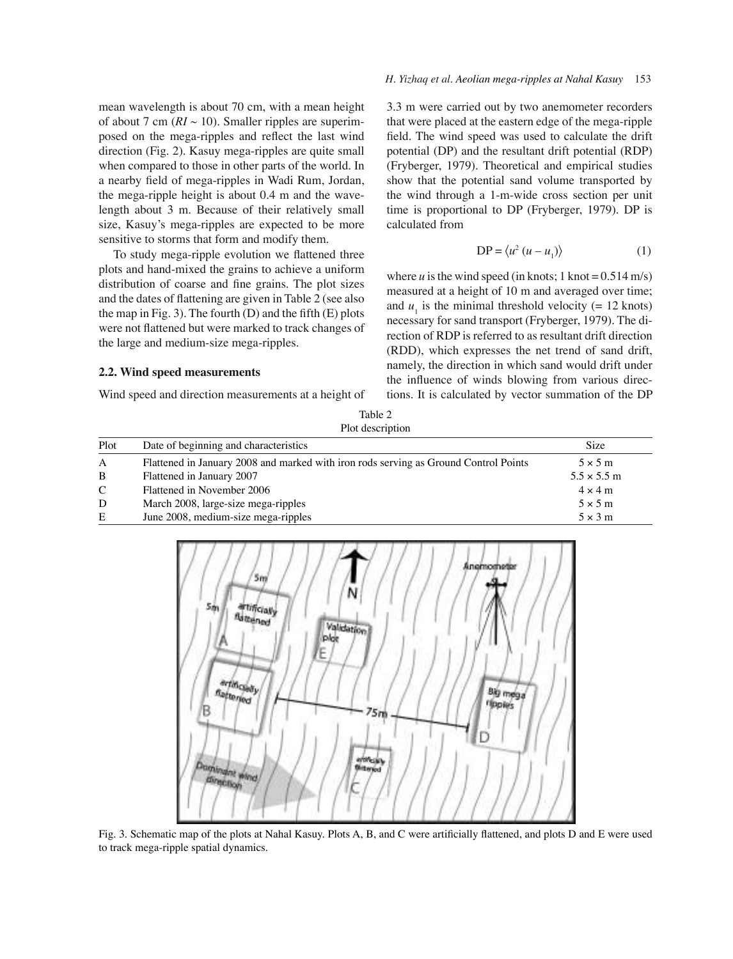mean wavelength is about 70 cm, with a mean height of about 7 cm  $(RI \sim 10)$ . Smaller ripples are superimposed on the mega-ripples and reflect the last wind direction (Fig. 2). Kasuy mega-ripples are quite small when compared to those in other parts of the world. In a nearby field of mega-ripples in Wadi Rum, Jordan, the mega-ripple height is about 0.4 m and the wavelength about 3 m. Because of their relatively small size, Kasuy's mega-ripples are expected to be more sensitive to storms that form and modify them.

To study mega-ripple evolution we flattened three plots and hand-mixed the grains to achieve a uniform distribution of coarse and fine grains. The plot sizes and the dates of flattening are given in Table 2 (see also the map in Fig. 3). The fourth  $(D)$  and the fifth  $(E)$  plots were not flattened but were marked to track changes of the large and medium-size mega-ripples.

## **2.2. Wind speed measurements**

Wind speed and direction measurements at a height of

## *H. Yizhaq et al. Aeolian mega-ripples at Nahal Kasuy* 153

3.3 m were carried out by two anemometer recorders that were placed at the eastern edge of the mega-ripple field. The wind speed was used to calculate the drift potential (DP) and the resultant drift potential (RDP) (Fryberger, 1979). Theoretical and empirical studies show that the potential sand volume transported by the wind through a 1-m-wide cross section per unit time is proportional to DP (Fryberger, 1979). DP is calculated from

$$
DP = \langle u^2 (u - u_1) \rangle \tag{1}
$$

where *u* is the wind speed (in knots;  $1 \text{ knot} = 0.514 \text{ m/s}$ ) measured at a height of 10 m and averaged over time; and  $u_1$  is the minimal threshold velocity (= 12 knots) necessary for sand transport (Fryberger, 1979). The direction of RDP is referred to as resultant drift direction (RDD), which expresses the net trend of sand drift, namely, the direction in which sand would drift under the influence of winds blowing from various directions. It is calculated by vector summation of the DP

Table 2 Plot description

| Plot          | Date of beginning and characteristics                                                | Size               |
|---------------|--------------------------------------------------------------------------------------|--------------------|
| A             | Flattened in January 2008 and marked with iron rods serving as Ground Control Points | $5 \times 5$ m     |
| B             | Flattened in January 2007                                                            | $5.5 \times 5.5$ m |
| $\mathcal{C}$ | Flattened in November 2006                                                           | $4 \times 4$ m     |
| D             | March 2008, large-size mega-ripples                                                  | $5 \times 5$ m     |
| E             | June 2008, medium-size mega-ripples                                                  | $5 \times 3$ m     |



Fig. 3. Schematic map of the plots at Nahal Kasuy. Plots A, B, and C were artificially flattened, and plots D and E were used to track mega-ripple spatial dynamics.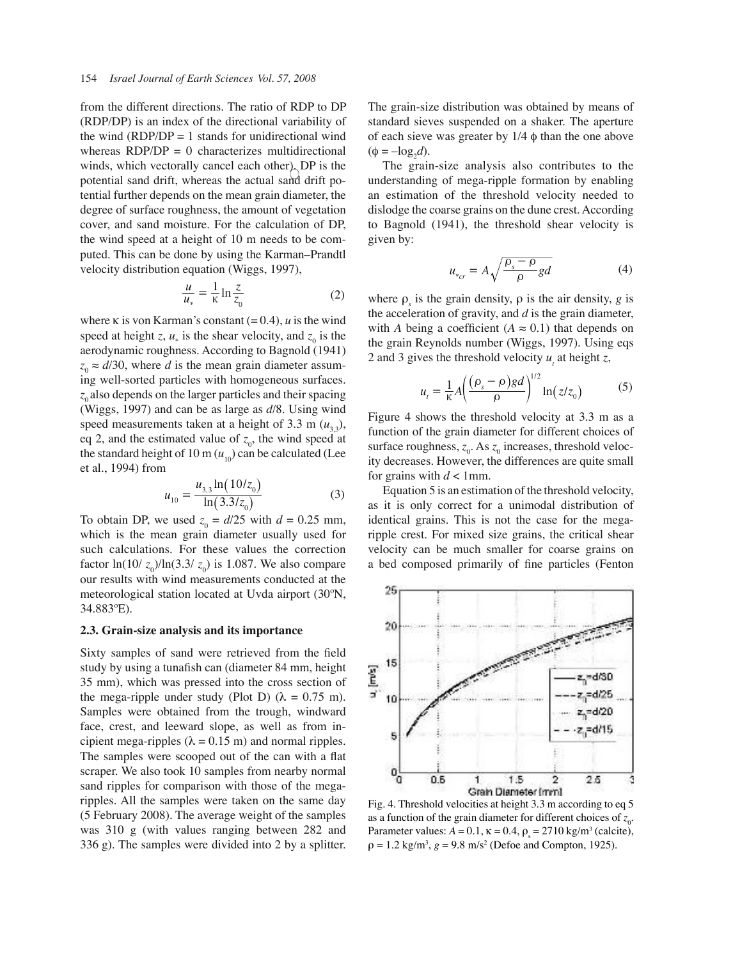from the different directions. The ratio of RDP to DP (RDP/DP) is an index of the directional variability of the wind  $(RDP/DP = 1$  stands for unidirectional wind whereas  $RDP/DP = 0$  characterizes multidirectional winds, which vectorally cancel each other). DP is the potential sand drift, whereas the actual sand drift potential further depends on the mean grain diameter, the degree of surface roughness, the amount of vegetation cover, and sand moisture. For the calculation of DP, the wind speed at a height of 10 m needs to be computed. This can be done by using the Karman–Prandtl velocity distribution equation (Wiggs, 1997),

$$
\frac{u}{u_*} = \frac{1}{\kappa} \ln \frac{z}{z_0} \tag{2}
$$

where  $\kappa$  is von Karman's constant (= 0.4), *u* is the wind speed at height *z*,  $u_*$  is the shear velocity, and  $z_0$  is the aerodynamic roughness. According to Bagnold (1941)  $z_0 \approx d/30$ , where *d* is the mean grain diameter assuming well-sorted particles with homogeneous surfaces. *z* <sup>0</sup>also depends on the larger particles and their spacing (Wiggs, 1997) and can be as large as *d*/8. Using wind speed measurements taken at a height of 3.3 m  $(u_{3,3})$ , eq 2, and the estimated value of  $z_0$ , the wind speed at the standard height of 10 m  $(u_{10})$  can be calculated (Lee et al., 1994) from

$$
u_{10} = \frac{u_{3,3} \ln(10/z_0)}{\ln(3.3/z_0)}
$$
 (3)

To obtain DP, we used  $z_0 = d/25$  with  $d = 0.25$  mm, which is the mean grain diameter usually used for such calculations. For these values the correction factor  $\ln(10/\ z_0)/\ln(3.3/\ z_0)$  is 1.087. We also compare our results with wind measurements conducted at the meteorological station located at Uvda airport (30ºN, 34.883ºE).

## **2.3. Grain-size analysis and its importance**

Sixty samples of sand were retrieved from the field study by using a tunafish can (diameter 84 mm, height 35 mm), which was pressed into the cross section of the mega-ripple under study (Plot D)  $(\lambda = 0.75 \text{ m})$ . Samples were obtained from the trough, windward face, crest, and leeward slope, as well as from incipient mega-ripples ( $\lambda = 0.15$  m) and normal ripples. The samples were scooped out of the can with a flat scraper. We also took 10 samples from nearby normal sand ripples for comparison with those of the megaripples. All the samples were taken on the same day (5 February 2008). The average weight of the samples was 310 g (with values ranging between 282 and 336 g). The samples were divided into 2 by a splitter.

The grain-size distribution was obtained by means of standard sieves suspended on a shaker. The aperture of each sieve was greater by  $1/4 \phi$  than the one above  $(\phi = -\log_2 d).$ 

The grain-size analysis also contributes to the understanding of mega-ripple formation by enabling an estimation of the threshold velocity needed to dislodge the coarse grains on the dune crest. According to Bagnold (1941), the threshold shear velocity is given by:

$$
u_{*_{cr}} = A \sqrt{\frac{\rho_s - \rho}{\rho} gd} \tag{4}
$$

where  $\rho_s$  is the grain density,  $\rho$  is the air density, *g* is the acceleration of gravity, and *d* is the grain diameter, with *A* being a coefficient  $(A \approx 0.1)$  that depends on the grain Reynolds number (Wiggs, 1997). Using eqs 2 and 3 gives the threshold velocity  $u_t$  at height *z*,

$$
u_t = \frac{1}{\kappa} A \left( \frac{(\rho_s - \rho) g d}{\rho} \right)^{1/2} \ln(z/z_0)
$$
 (5)

Figure 4 shows the threshold velocity at 3.3 m as a function of the grain diameter for different choices of surface roughness,  $z_0$ . As  $z_0$  increases, threshold velocity decreases. However, the differences are quite small for grains with  $d < 1$  mm.

Equation 5 is an estimation of the threshold velocity, as it is only correct for a unimodal distribution of identical grains. This is not the case for the megaripple crest. For mixed size grains, the critical shear velocity can be much smaller for coarse grains on a bed composed primarily of fine particles (Fenton



Fig. 4. Threshold velocities at height 3.3 m according to eq 5 as a function of the grain diameter for different choices of  $z_0$ . Parameter values:  $A = 0.1$ ,  $\kappa = 0.4$ ,  $\rho_s = 2710 \text{ kg/m}^3$  (calcite),  $\rho = 1.2 \text{ kg/m}^3, g = 9.8 \text{ m/s}^2 \text{ (Defoe and Compton, 1925)}.$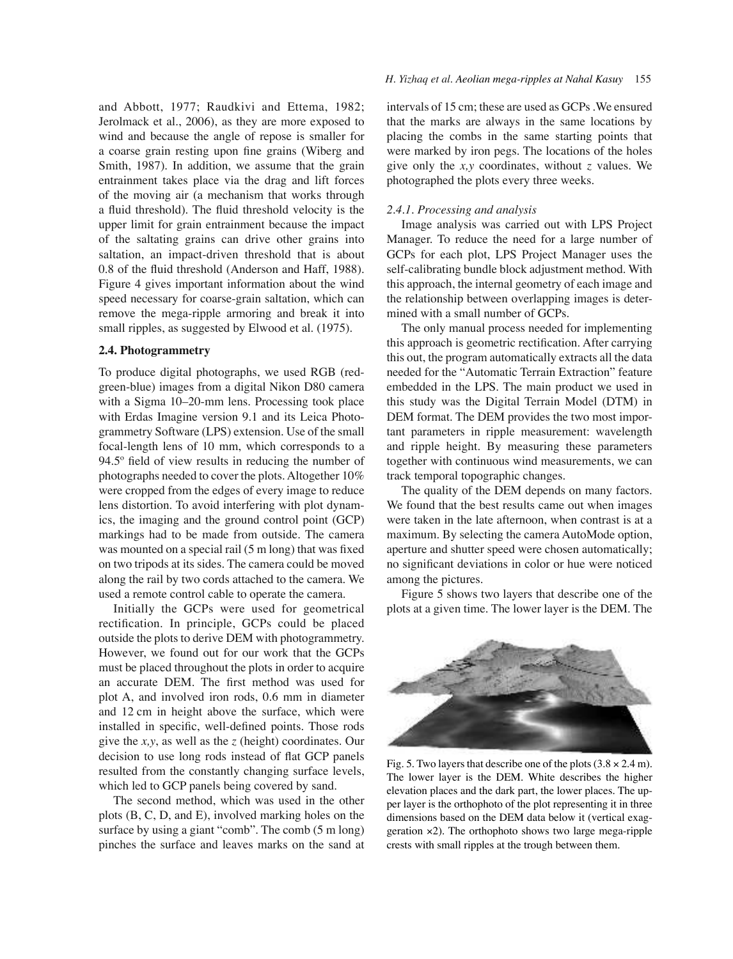and Abbott, 1977; Raudkivi and Ettema, 1982; Jerolmack et al., 2006), as they are more exposed to wind and because the angle of repose is smaller for a coarse grain resting upon fine grains (Wiberg and Smith, 1987). In addition, we assume that the grain entrainment takes place via the drag and lift forces of the moving air (a mechanism that works through a fluid threshold). The fluid threshold velocity is the upper limit for grain entrainment because the impact of the saltating grains can drive other grains into saltation, an impact-driven threshold that is about 0.8 of the fluid threshold (Anderson and Haff, 1988). Figure 4 gives important information about the wind speed necessary for coarse-grain saltation, which can remove the mega-ripple armoring and break it into small ripples, as suggested by Elwood et al. (1975).

## **2.4. Photogrammetry**

To produce digital photographs, we used RGB (redgreen-blue) images from a digital Nikon D80 camera with a Sigma 10–20-mm lens. Processing took place with Erdas Imagine version 9.1 and its Leica Photogrammetry Software (LPS) extension. Use of the small focal-length lens of 10 mm, which corresponds to a 94.5º field of view results in reducing the number of photographs needed to cover the plots. Altogether 10% were cropped from the edges of every image to reduce lens distortion. To avoid interfering with plot dynamics, the imaging and the ground control point (GCP) markings had to be made from outside. The camera was mounted on a special rail (5 m long) that was fixed on two tripods at its sides. The camera could be moved along the rail by two cords attached to the camera. We used a remote control cable to operate the camera.

Initially the GCPs were used for geometrical rectification. In principle, GCPs could be placed outside the plots to derive DEM with photogrammetry. However, we found out for our work that the GCPs must be placed throughout the plots in order to acquire an accurate DEM. The first method was used for plot A, and involved iron rods, 0.6 mm in diameter and 12 cm in height above the surface, which were installed in specific, well-defined points. Those rods give the *x,y*, as well as the *z* (height) coordinates. Our decision to use long rods instead of flat GCP panels resulted from the constantly changing surface levels, which led to GCP panels being covered by sand.

The second method, which was used in the other plots (B, C, D, and E), involved marking holes on the surface by using a giant "comb". The comb (5 m long) pinches the surface and leaves marks on the sand at

### *H. Yizhaq et al. Aeolian mega-ripples at Nahal Kasuy* 155

intervals of 15 cm; these are used as GCPs .We ensured that the marks are always in the same locations by placing the combs in the same starting points that were marked by iron pegs. The locations of the holes give only the *x,y* coordinates, without *z* values. We photographed the plots every three weeks.

## *2.4.1. Processing and analysis*

Image analysis was carried out with LPS Project Manager. To reduce the need for a large number of GCPs for each plot, LPS Project Manager uses the self-calibrating bundle block adjustment method. With this approach, the internal geometry of each image and the relationship between overlapping images is determined with a small number of GCPs.

The only manual process needed for implementing this approach is geometric rectification. After carrying this out, the program automatically extracts all the data needed for the "Automatic Terrain Extraction" feature embedded in the LPS. The main product we used in this study was the Digital Terrain Model (DTM) in DEM format. The DEM provides the two most important parameters in ripple measurement: wavelength and ripple height. By measuring these parameters together with continuous wind measurements, we can track temporal topographic changes.

The quality of the DEM depends on many factors. We found that the best results came out when images were taken in the late afternoon, when contrast is at a maximum. By selecting the camera AutoMode option, aperture and shutter speed were chosen automatically; no significant deviations in color or hue were noticed among the pictures.

Figure 5 shows two layers that describe one of the plots at a given time. The lower layer is the DEM. The



Fig. 5. Two layers that describe one of the plots  $(3.8 \times 2.4 \text{ m})$ . The lower layer is the DEM. White describes the higher elevation places and the dark part, the lower places. The upper layer is the orthophoto of the plot representing it in three dimensions based on the DEM data below it (vertical exaggeration  $\times$ 2). The orthophoto shows two large mega-ripple crests with small ripples at the trough between them.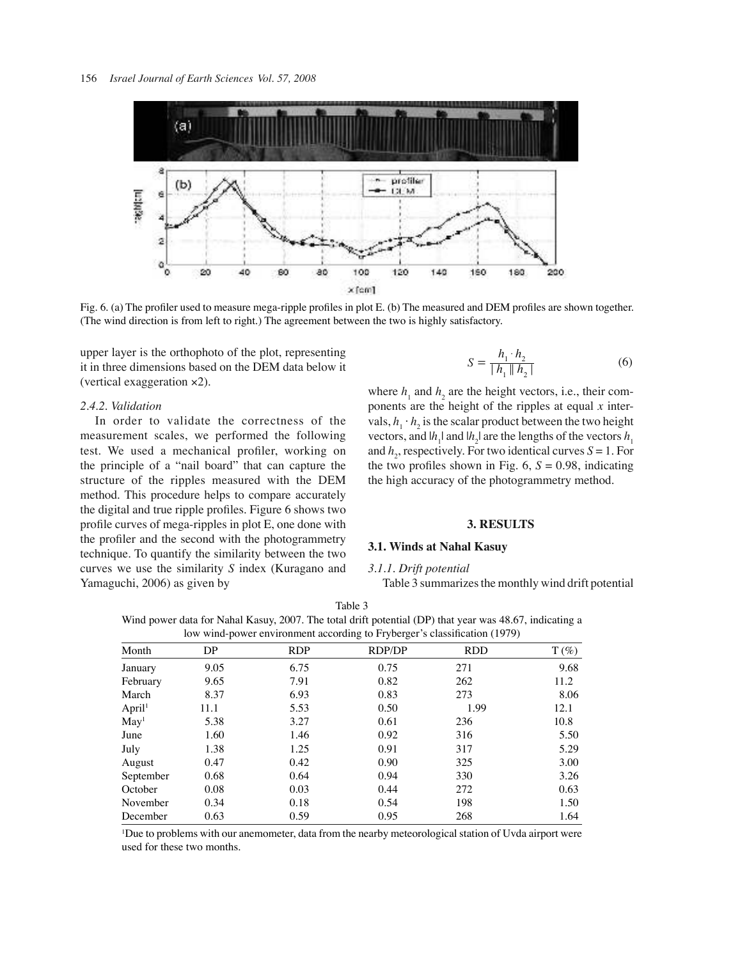

Fig. 6. (a) The profiler used to measure mega-ripple profiles in plot E. (b) The measured and DEM profiles are shown together. (The wind direction is from left to right.) The agreement between the two is highly satisfactory.

upper layer is the orthophoto of the plot, representing it in three dimensions based on the DEM data below it (vertical exaggeration  $\times 2$ ).

### *2.4.2. Validation*

In order to validate the correctness of the measurement scales, we performed the following test. We used a mechanical profiler, working on the principle of a "nail board" that can capture the structure of the ripples measured with the DEM method. This procedure helps to compare accurately the digital and true ripple profiles. Figure 6 shows two profile curves of mega-ripples in plot E, one done with the profiler and the second with the photogrammetry technique. To quantify the similarity between the two curves we use the similarity *S* index (Kuragano and Yamaguchi, 2006) as given by

$$
S = \frac{h_1 \cdot h_2}{|h_1||h_2|} \tag{6}
$$

where  $h_1$  and  $h_2$  are the height vectors, i.e., their components are the height of the ripples at equal *x* intervals,  $h_1 \cdot h_2$  is the scalar product between the two height vectors, and  $|h_1|$  and  $|h_2|$  are the lengths of the vectors  $h_1$ and  $h_2$ , respectively. For two identical curves  $S = 1$ . For the two profiles shown in Fig.  $6, S = 0.98$ , indicating the high accuracy of the photogrammetry method.

### **3. REsulTs**

## **3.1. Winds at Nahal Kasuy**

## *3.1.1. Drift potential*

Table 3 summarizes the monthly wind drift potential

| г<br>. . |  | ١. |  |
|----------|--|----|--|
|----------|--|----|--|

Wind power data for Nahal Kasuy, 2007. The total drift potential (DP) that year was 48.67, indicating a low wind-power environment according to Fryberger's classification (1979)

|                    | л.   |            | o<br>┙<br>c | $\overline{\phantom{a}}$ |         |
|--------------------|------|------------|-------------|--------------------------|---------|
| Month              | DP   | <b>RDP</b> | RDP/DP      | <b>RDD</b>               | $T(\%)$ |
| January            | 9.05 | 6.75       | 0.75        | 271                      | 9.68    |
| February           | 9.65 | 7.91       | 0.82        | 262                      | 11.2    |
| March              | 8.37 | 6.93       | 0.83        | 273                      | 8.06    |
| April <sup>1</sup> | 11.1 | 5.53       | 0.50        | 1.99                     | 12.1    |
| $\text{May}^1$     | 5.38 | 3.27       | 0.61        | 236                      | 10.8    |
| June               | 1.60 | 1.46       | 0.92        | 316                      | 5.50    |
| July               | 1.38 | 1.25       | 0.91        | 317                      | 5.29    |
| August             | 0.47 | 0.42       | 0.90        | 325                      | 3.00    |
| September          | 0.68 | 0.64       | 0.94        | 330                      | 3.26    |
| October            | 0.08 | 0.03       | 0.44        | 272                      | 0.63    |
| November           | 0.34 | 0.18       | 0.54        | 198                      | 1.50    |
| December           | 0.63 | 0.59       | 0.95        | 268                      | 1.64    |

<sup>1</sup>Due to problems with our anemometer, data from the nearby meteorological station of Uvda airport were used for these two months.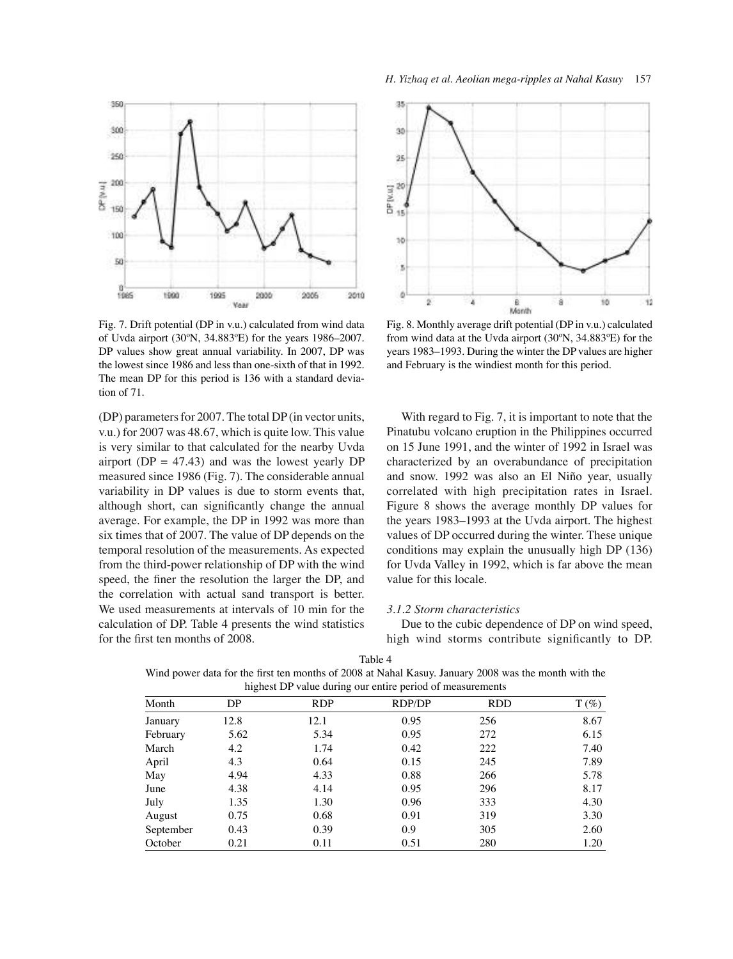

Fig. 7. Drift potential (DP in v.u.) calculated from wind data of Uvda airport (30ºN, 34.883ºE) for the years 1986–2007. DP values show great annual variability. In 2007, DP was the lowest since 1986 and less than one-sixth of that in 1992. The mean DP for this period is 136 with a standard deviation of 71.

(DP) parameters for 2007. The total DP (in vector units, v.u.) for 2007 was 48.67, which is quite low. This value is very similar to that calculated for the nearby Uvda airport ( $DP = 47.43$ ) and was the lowest yearly  $DP$ measured since 1986 (Fig. 7). The considerable annual variability in DP values is due to storm events that, although short, can significantly change the annual average. For example, the DP in 1992 was more than six times that of 2007. The value of DP depends on the temporal resolution of the measurements. As expected from the third-power relationship of DP with the wind speed, the finer the resolution the larger the DP, and the correlation with actual sand transport is better. We used measurements at intervals of 10 min for the calculation of DP. Table 4 presents the wind statistics for the first ten months of 2008.



Fig. 8. Monthly average drift potential (DP in v.u.) calculated from wind data at the Uvda airport (30ºN, 34.883ºE) for the years 1983–1993. During the winter the DP values are higher and February is the windiest month for this period.

With regard to Fig. 7, it is important to note that the Pinatubu volcano eruption in the Philippines occurred on 15 June 1991, and the winter of 1992 in Israel was characterized by an overabundance of precipitation and snow. 1992 was also an El Niño year, usually correlated with high precipitation rates in Israel. Figure 8 shows the average monthly DP values for the years 1983–1993 at the Uvda airport. The highest values of DP occurred during the winter. These unique conditions may explain the unusually high DP (136) for Uvda Valley in 1992, which is far above the mean value for this locale.

#### *3.1.2 Storm characteristics*

Due to the cubic dependence of DP on wind speed, high wind storms contribute significantly to DP.

|  | $140E +$           |  |
|--|--------------------|--|
|  | 2008 at Nahal Kasu |  |

| highest DP value during our entire period of measurements |      |            |        |            |         |  |
|-----------------------------------------------------------|------|------------|--------|------------|---------|--|
| Month                                                     | DP   | <b>RDP</b> | RDP/DP | <b>RDD</b> | $T(\%)$ |  |
| January                                                   | 12.8 | 12.1       | 0.95   | 256        | 8.67    |  |
| February                                                  | 5.62 | 5.34       | 0.95   | 272        | 6.15    |  |
| March                                                     | 4.2  | 1.74       | 0.42   | 222        | 7.40    |  |
| April                                                     | 4.3  | 0.64       | 0.15   | 245        | 7.89    |  |
| May                                                       | 4.94 | 4.33       | 0.88   | 266        | 5.78    |  |
| June                                                      | 4.38 | 4.14       | 0.95   | 296        | 8.17    |  |
| July                                                      | 1.35 | 1.30       | 0.96   | 333        | 4.30    |  |
| August                                                    | 0.75 | 0.68       | 0.91   | 319        | 3.30    |  |
| September                                                 | 0.43 | 0.39       | 0.9    | 305        | 2.60    |  |
| October                                                   | 0.21 | 0.11       | 0.51   | 280        | 1.20    |  |

Wind power data for the first ten months of 2008 at Nahal Kasuy. January 2008 was the month with the

Table 4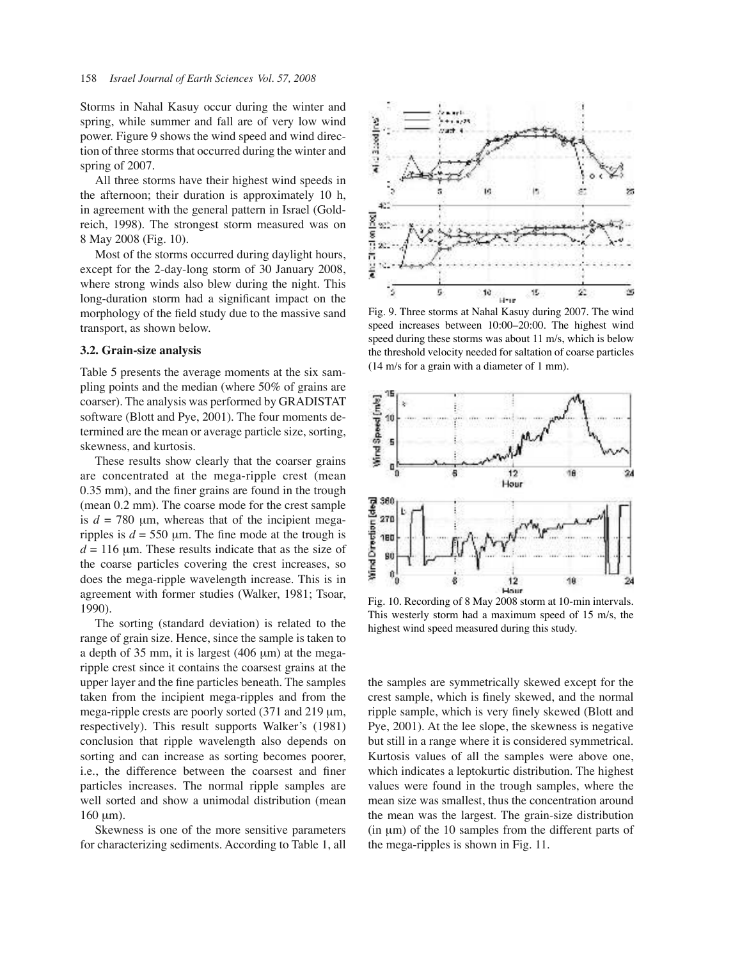Storms in Nahal Kasuy occur during the winter and spring, while summer and fall are of very low wind power. Figure 9 shows the wind speed and wind direction of three storms that occurred during the winter and spring of 2007.

All three storms have their highest wind speeds in the afternoon; their duration is approximately 10 h, in agreement with the general pattern in Israel (Goldreich, 1998). The strongest storm measured was on 8 May 2008 (Fig. 10).

Most of the storms occurred during daylight hours, except for the 2-day-long storm of 30 January 2008, where strong winds also blew during the night. This long-duration storm had a significant impact on the morphology of the field study due to the massive sand transport, as shown below.

### **3.2. Grain-size analysis**

Table 5 presents the average moments at the six sampling points and the median (where 50% of grains are coarser). The analysis was performed by GRADISTAT software (Blott and Pye, 2001). The four moments determined are the mean or average particle size, sorting, skewness, and kurtosis.

These results show clearly that the coarser grains are concentrated at the mega-ripple crest (mean 0.35 mm), and the finer grains are found in the trough (mean 0.2 mm). The coarse mode for the crest sample is  $d = 780$  µm, whereas that of the incipient megaripples is  $d = 550 \text{ µm}$ . The fine mode at the trough is  $d = 116$  µm. These results indicate that as the size of the coarse particles covering the crest increases, so does the mega-ripple wavelength increase. This is in agreement with former studies (Walker, 1981; Tsoar, 1990).

The sorting (standard deviation) is related to the range of grain size. Hence, since the sample is taken to a depth of 35 mm, it is largest  $(406 \mu m)$  at the megaripple crest since it contains the coarsest grains at the upper layer and the fine particles beneath. The samples taken from the incipient mega-ripples and from the mega-ripple crests are poorly sorted  $(371$  and  $219 \mu m$ , respectively). This result supports Walker's (1981) conclusion that ripple wavelength also depends on sorting and can increase as sorting becomes poorer, i.e., the difference between the coarsest and finer particles increases. The normal ripple samples are well sorted and show a unimodal distribution (mean  $160 \text{ }\mu\text{m}$ ).

Skewness is one of the more sensitive parameters for characterizing sediments. According to Table 1, all



Fig. 9. Three storms at Nahal Kasuy during 2007. The wind speed increases between 10:00–20:00. The highest wind speed during these storms was about 11 m/s, which is below the threshold velocity needed for saltation of coarse particles (14 m/s for a grain with a diameter of 1 mm).



Fig. 10. Recording of 8 May 2008 storm at 10-min intervals. This westerly storm had a maximum speed of 15 m/s, the highest wind speed measured during this study.

the samples are symmetrically skewed except for the crest sample, which is finely skewed, and the normal ripple sample, which is very finely skewed (Blott and Pye, 2001). At the lee slope, the skewness is negative but still in a range where it is considered symmetrical. Kurtosis values of all the samples were above one, which indicates a leptokurtic distribution. The highest values were found in the trough samples, where the mean size was smallest, thus the concentration around the mean was the largest. The grain-size distribution  $(in \mu m)$  of the 10 samples from the different parts of the mega-ripples is shown in Fig. 11.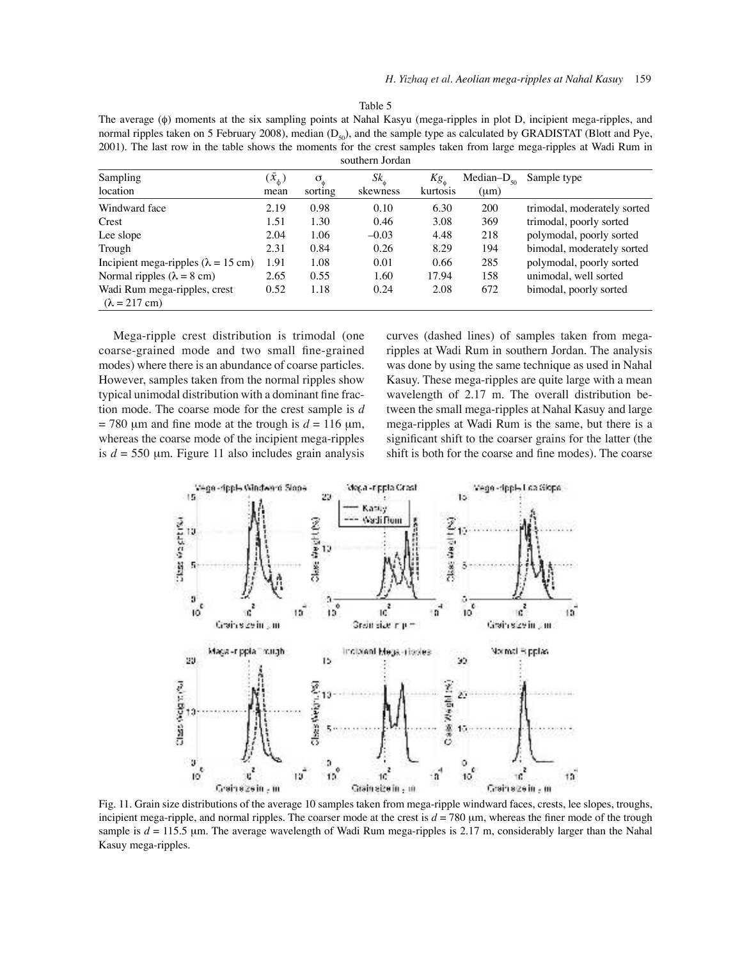The average ( $\phi$ ) moments at the six sampling points at Nahal Kasyu (mega-ripples in plot D, incipient mega-ripples, and normal ripples taken on 5 February 2008), median  $(D_{50})$ , and the sample type as calculated by GRADISTAT (Blott and Pye, 2001). The last row in the table shows the moments for the crest samples taken from large mega-ripples at Wadi Rum in southern Jordan

| Sampling                                    | $(\bar{x}_{\scriptscriptstyle (\!\varsigma\!)})$ | σ       | $Sk_{\phi}$ | $Kg_{\phi}$ | Median- $D_{50}$ | Sample type                 |
|---------------------------------------------|--------------------------------------------------|---------|-------------|-------------|------------------|-----------------------------|
| location                                    | mean                                             | sorting | skewness    | kurtosis    | $(\mu m)$        |                             |
| Windward face                               | 2.19                                             | 0.98    | 0.10        | 6.30        | 200              | trimodal, moderately sorted |
| Crest                                       | 1.51                                             | 1.30    | 0.46        | 3.08        | 369              | trimodal, poorly sorted     |
| Lee slope                                   | 2.04                                             | 1.06    | $-0.03$     | 4.48        | 218              | polymodal, poorly sorted    |
| Trough                                      | 2.31                                             | 0.84    | 0.26        | 8.29        | 194              | bimodal, moderately sorted  |
| Incipient mega-ripples ( $\lambda = 15$ cm) | 1.91                                             | 1.08    | 0.01        | 0.66        | 285              | polymodal, poorly sorted    |
| Normal ripples ( $\lambda = 8$ cm)          | 2.65                                             | 0.55    | 1.60        | 17.94       | 158              | unimodal, well sorted       |
| Wadi Rum mega-ripples, crest                | 0.52                                             | 1.18    | 0.24        | 2.08        | 672              | bimodal, poorly sorted      |
| $(\lambda = 217 \text{ cm})$                |                                                  |         |             |             |                  |                             |

Mega-ripple crest distribution is trimodal (one coarse-grained mode and two small fine-grained modes) where there is an abundance of coarse particles. However, samples taken from the normal ripples show typical unimodal distribution with a dominant fine fraction mode. The coarse mode for the crest sample is *d*  $= 780$  µm and fine mode at the trough is  $d = 116$  µm, whereas the coarse mode of the incipient mega-ripples is  $d = 550$  µm. Figure 11 also includes grain analysis

curves (dashed lines) of samples taken from megaripples at Wadi Rum in southern Jordan. The analysis was done by using the same technique as used in Nahal Kasuy. These mega-ripples are quite large with a mean wavelength of 2.17 m. The overall distribution between the small mega-ripples at Nahal Kasuy and large mega-ripples at Wadi Rum is the same, but there is a significant shift to the coarser grains for the latter (the shift is both for the coarse and fine modes). The coarse



Fig. 11. Grain size distributions of the average 10 samples taken from mega-ripple windward faces, crests, lee slopes, troughs, incipient mega-ripple, and normal ripples. The coarser mode at the crest is  $d = 780 \text{ µm}$ , whereas the finer mode of the trough sample is  $d = 115.5$  µm. The average wavelength of Wadi Rum mega-ripples is 2.17 m, considerably larger than the Nahal Kasuy mega-ripples.

#### Table 5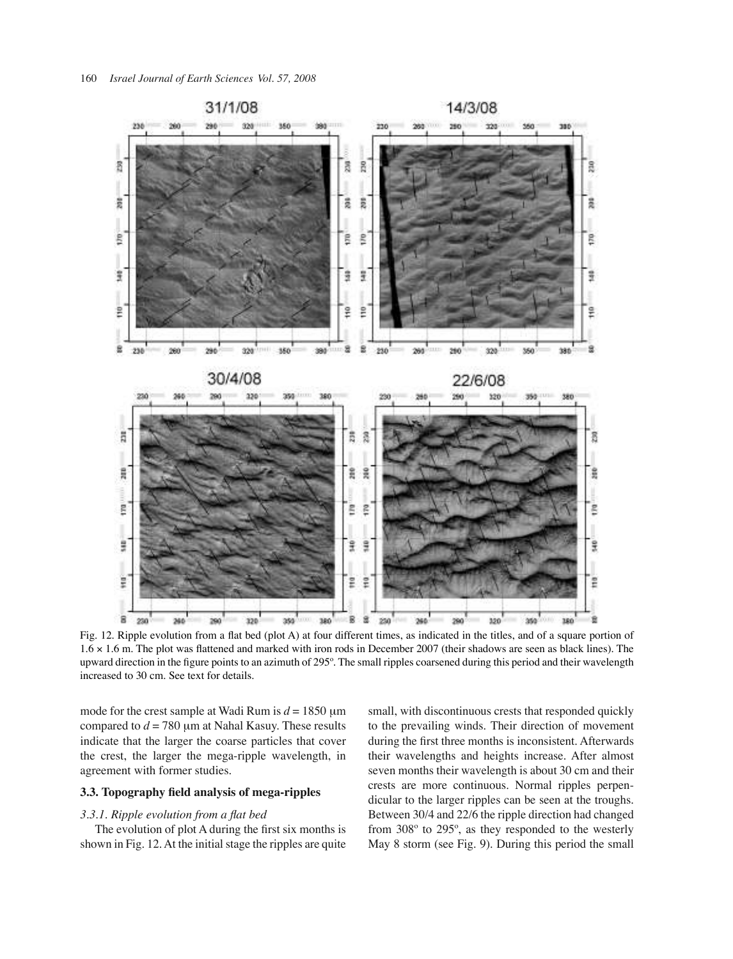

Fig. 12. Ripple evolution from a flat bed (plot A) at four different times, as indicated in the titles, and of a square portion of  $1.6 \times 1.6$  m. The plot was flattened and marked with iron rods in December 2007 (their shadows are seen as black lines). The upward direction in the figure points to an azimuth of 295º. The small ripples coarsened during this period and their wavelength increased to 30 cm. See text for details.

mode for the crest sample at Wadi Rum is  $d = 1850 \mu m$ compared to  $d = 780 \mu m$  at Nahal Kasuy. These results indicate that the larger the coarse particles that cover the crest, the larger the mega-ripple wavelength, in agreement with former studies.

## **3.3. Topography field analysis of mega-ripples**

## *3.3.1. Ripple evolution from a flat bed*

The evolution of plot A during the first six months is shown in Fig. 12. At the initial stage the ripples are quite

small, with discontinuous crests that responded quickly to the prevailing winds. Their direction of movement during the first three months is inconsistent. Afterwards their wavelengths and heights increase. After almost seven months their wavelength is about 30 cm and their crests are more continuous. Normal ripples perpendicular to the larger ripples can be seen at the troughs. Between 30/4 and 22/6 the ripple direction had changed from 308º to 295º, as they responded to the westerly May 8 storm (see Fig. 9). During this period the small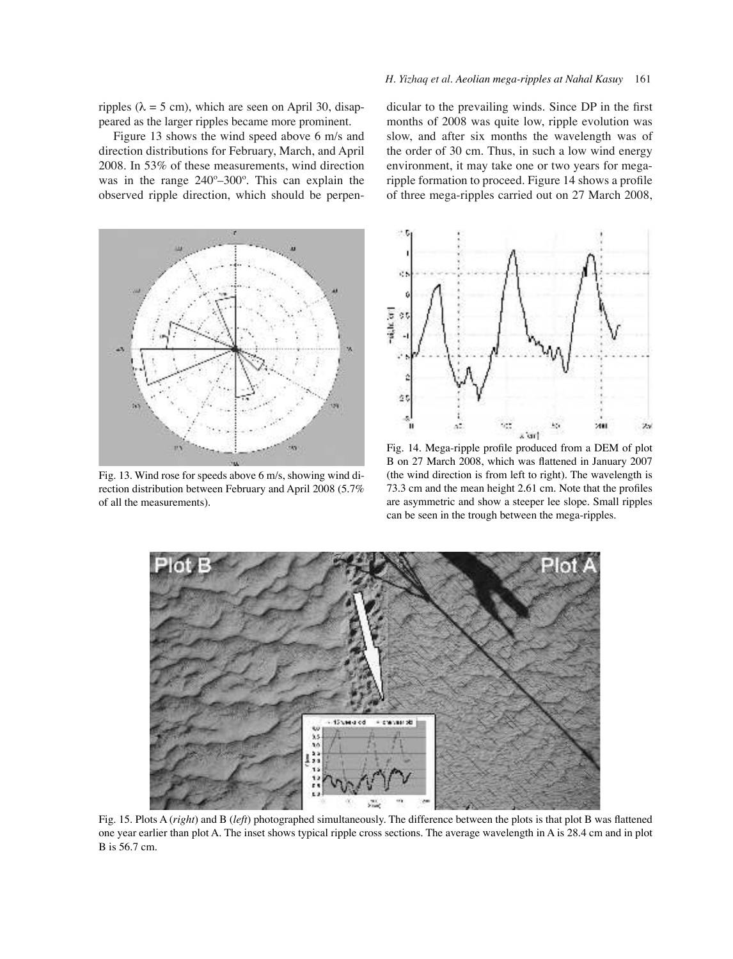ripples ( $\lambda = 5$  cm), which are seen on April 30, disappeared as the larger ripples became more prominent.

Figure 13 shows the wind speed above 6 m/s and direction distributions for February, March, and April 2008. In 53% of these measurements, wind direction was in the range 240º–300º. This can explain the observed ripple direction, which should be perpen-



Fig. 13. Wind rose for speeds above 6 m/s, showing wind direction distribution between February and April 2008 (5.7% of all the measurements).

### *H. Yizhaq et al. Aeolian mega-ripples at Nahal Kasuy* 161

dicular to the prevailing winds. Since DP in the first months of 2008 was quite low, ripple evolution was slow, and after six months the wavelength was of the order of 30 cm. Thus, in such a low wind energy environment, it may take one or two years for megaripple formation to proceed. Figure 14 shows a profile of three mega-ripples carried out on 27 March 2008,



Fig. 14. Mega-ripple profile produced from a DEM of plot B on 27 March 2008, which was flattened in January 2007 (the wind direction is from left to right). The wavelength is 73.3 cm and the mean height 2.61 cm. Note that the profiles are asymmetric and show a steeper lee slope. Small ripples can be seen in the trough between the mega-ripples.



Fig. 15. Plots A (*right*) and B (*left*) photographed simultaneously. The difference between the plots is that plot B was flattened one year earlier than plot A. The inset shows typical ripple cross sections. The average wavelength in A is 28.4 cm and in plot B is 56.7 cm.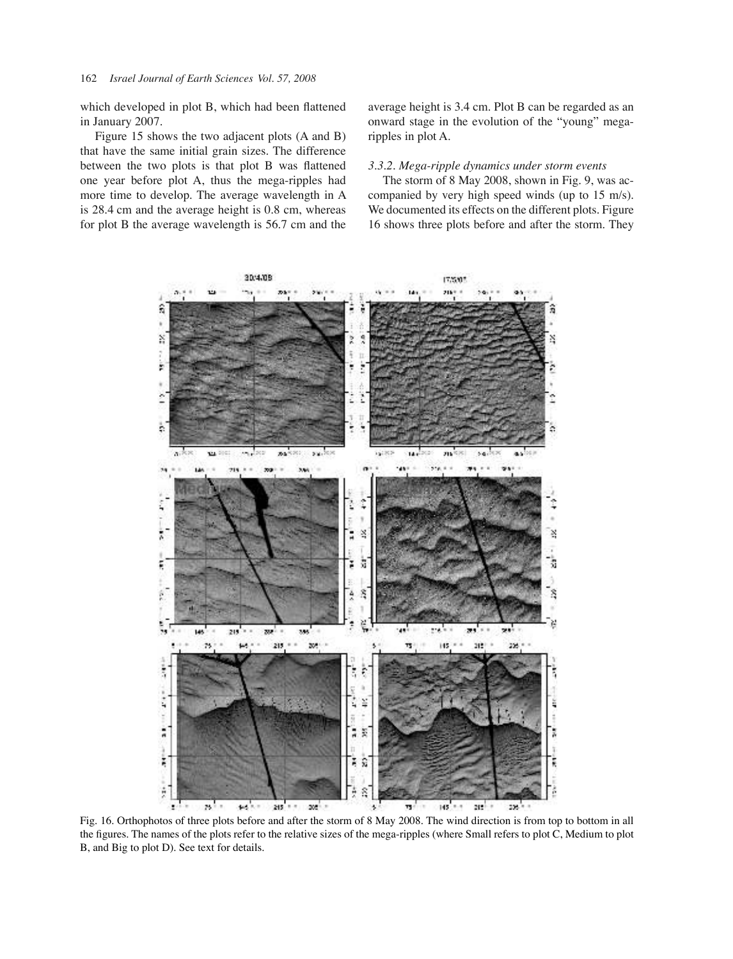which developed in plot B, which had been flattened in January 2007.

Figure 15 shows the two adjacent plots (A and B) that have the same initial grain sizes. The difference between the two plots is that plot B was flattened one year before plot A, thus the mega-ripples had more time to develop. The average wavelength in A is 28.4 cm and the average height is 0.8 cm, whereas for plot B the average wavelength is 56.7 cm and the average height is 3.4 cm. Plot B can be regarded as an onward stage in the evolution of the "young" megaripples in plot A.

## *3.3.2. Mega-ripple dynamics under storm events*

The storm of 8 May 2008, shown in Fig. 9, was accompanied by very high speed winds (up to 15 m/s). We documented its effects on the different plots. Figure 16 shows three plots before and after the storm. They



Fig. 16. Orthophotos of three plots before and after the storm of 8 May 2008. The wind direction is from top to bottom in all the figures. The names of the plots refer to the relative sizes of the mega-ripples (where Small refers to plot C, Medium to plot B, and Big to plot D). See text for details.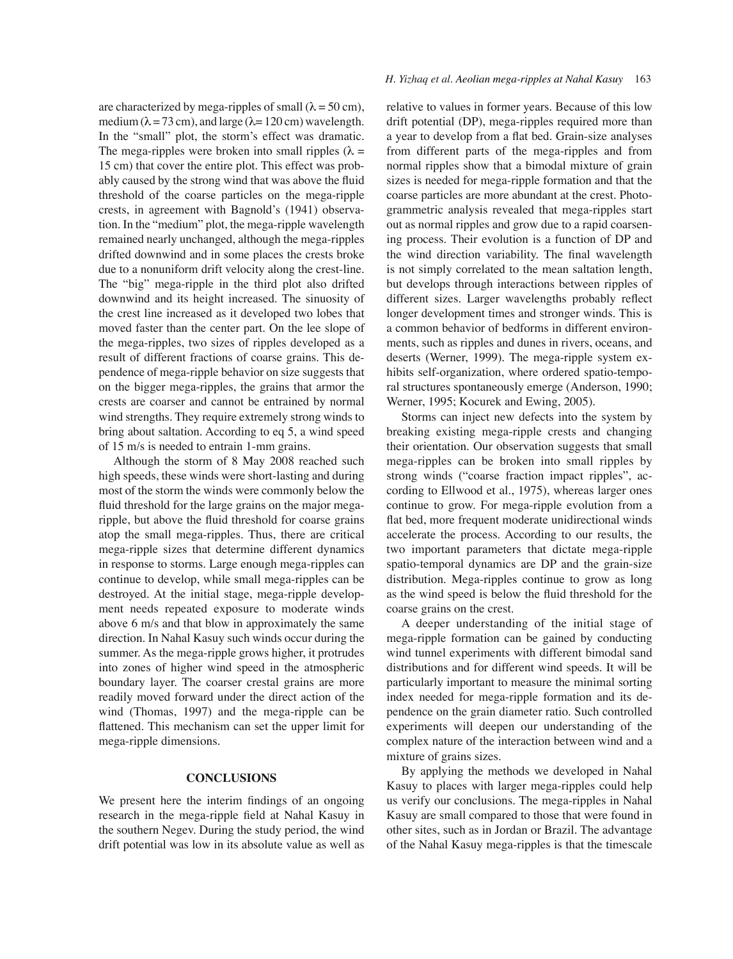are characterized by mega-ripples of small ( $\lambda = 50$  cm), medium ( $\lambda = 73$  cm), and large ( $\lambda = 120$  cm) wavelength. In the "small" plot, the storm's effect was dramatic. The mega-ripples were broken into small ripples ( $\lambda$  = 15 cm) that cover the entire plot. This effect was probably caused by the strong wind that was above the fluid threshold of the coarse particles on the mega-ripple crests, in agreement with Bagnold's (1941) observation. In the "medium" plot, the mega-ripple wavelength remained nearly unchanged, although the mega-ripples drifted downwind and in some places the crests broke due to a nonuniform drift velocity along the crest-line. The "big" mega-ripple in the third plot also drifted downwind and its height increased. The sinuosity of the crest line increased as it developed two lobes that moved faster than the center part. On the lee slope of the mega-ripples, two sizes of ripples developed as a result of different fractions of coarse grains. This dependence of mega-ripple behavior on size suggests that on the bigger mega-ripples, the grains that armor the crests are coarser and cannot be entrained by normal wind strengths. They require extremely strong winds to bring about saltation. According to eq 5, a wind speed of 15 m/s is needed to entrain 1-mm grains.

Although the storm of 8 May 2008 reached such high speeds, these winds were short-lasting and during most of the storm the winds were commonly below the fluid threshold for the large grains on the major megaripple, but above the fluid threshold for coarse grains atop the small mega-ripples. Thus, there are critical mega-ripple sizes that determine different dynamics in response to storms. Large enough mega-ripples can continue to develop, while small mega-ripples can be destroyed. At the initial stage, mega-ripple development needs repeated exposure to moderate winds above 6 m/s and that blow in approximately the same direction. In Nahal Kasuy such winds occur during the summer. As the mega-ripple grows higher, it protrudes into zones of higher wind speed in the atmospheric boundary layer. The coarser crestal grains are more readily moved forward under the direct action of the wind (Thomas, 1997) and the mega-ripple can be flattened. This mechanism can set the upper limit for mega-ripple dimensions.

## **cONclusIONs**

We present here the interim findings of an ongoing research in the mega-ripple field at Nahal Kasuy in the southern Negev. During the study period, the wind drift potential was low in its absolute value as well as

### *H. Yizhaq et al. Aeolian mega-ripples at Nahal Kasuy* 163

relative to values in former years. Because of this low drift potential (DP), mega-ripples required more than a year to develop from a flat bed. Grain-size analyses from different parts of the mega-ripples and from normal ripples show that a bimodal mixture of grain sizes is needed for mega-ripple formation and that the coarse particles are more abundant at the crest. Photogrammetric analysis revealed that mega-ripples start out as normal ripples and grow due to a rapid coarsening process. Their evolution is a function of DP and the wind direction variability. The final wavelength is not simply correlated to the mean saltation length, but develops through interactions between ripples of different sizes. Larger wavelengths probably reflect longer development times and stronger winds. This is a common behavior of bedforms in different environments, such as ripples and dunes in rivers, oceans, and deserts (Werner, 1999). The mega-ripple system exhibits self-organization, where ordered spatio-temporal structures spontaneously emerge (Anderson, 1990; Werner, 1995; Kocurek and Ewing, 2005).

Storms can inject new defects into the system by breaking existing mega-ripple crests and changing their orientation. Our observation suggests that small mega-ripples can be broken into small ripples by strong winds ("coarse fraction impact ripples", according to Ellwood et al., 1975), whereas larger ones continue to grow. For mega-ripple evolution from a flat bed, more frequent moderate unidirectional winds accelerate the process. According to our results, the two important parameters that dictate mega-ripple spatio-temporal dynamics are DP and the grain-size distribution. Mega-ripples continue to grow as long as the wind speed is below the fluid threshold for the coarse grains on the crest.

A deeper understanding of the initial stage of mega-ripple formation can be gained by conducting wind tunnel experiments with different bimodal sand distributions and for different wind speeds. It will be particularly important to measure the minimal sorting index needed for mega-ripple formation and its dependence on the grain diameter ratio. Such controlled experiments will deepen our understanding of the complex nature of the interaction between wind and a mixture of grains sizes.

By applying the methods we developed in Nahal Kasuy to places with larger mega-ripples could help us verify our conclusions. The mega-ripples in Nahal Kasuy are small compared to those that were found in other sites, such as in Jordan or Brazil. The advantage of the Nahal Kasuy mega-ripples is that the timescale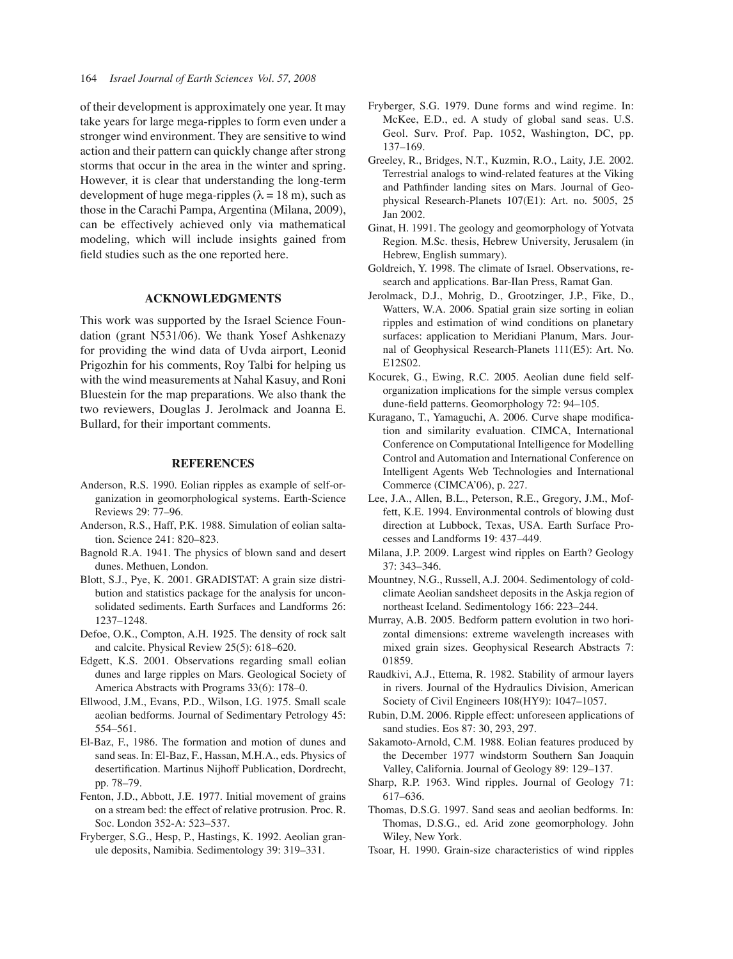of their development is approximately one year. It may take years for large mega-ripples to form even under a stronger wind environment. They are sensitive to wind action and their pattern can quickly change after strong storms that occur in the area in the winter and spring. However, it is clear that understanding the long-term development of huge mega-ripples ( $\lambda = 18$  m), such as those in the Carachi Pampa, Argentina (Milana, 2009), can be effectively achieved only via mathematical modeling, which will include insights gained from field studies such as the one reported here.

## **AcKNOWlEdGMENTs**

This work was supported by the Israel Science Foundation (grant N531/06). We thank Yosef Ashkenazy for providing the wind data of Uvda airport, Leonid Prigozhin for his comments, Roy Talbi for helping us with the wind measurements at Nahal Kasuy, and Roni Bluestein for the map preparations. We also thank the two reviewers, Douglas J. Jerolmack and Joanna E. Bullard, for their important comments.

## **REfERENcEs**

- Anderson, R.S. 1990. Eolian ripples as example of self-organization in geomorphological systems. Earth-Science Reviews 29: 77–96.
- Anderson, R.S., Haff, P.K. 1988. Simulation of eolian saltation. Science 241: 820–823.
- Bagnold R.A. 1941. The physics of blown sand and desert dunes. Methuen, London.
- Blott, S.J., Pye, K. 2001. GRADISTAT: A grain size distribution and statistics package for the analysis for unconsolidated sediments. Earth Surfaces and Landforms 26: 1237–1248.
- Defoe, O.K., Compton, A.H. 1925. The density of rock salt and calcite. Physical Review 25(5): 618–620.
- Edgett, K.S. 2001. Observations regarding small eolian dunes and large ripples on Mars. Geological Society of America Abstracts with Programs 33(6): 178–0.
- Ellwood, J.M., Evans, P.D., Wilson, I.G. 1975. Small scale aeolian bedforms. Journal of Sedimentary Petrology 45: 554–561.
- El-Baz, F., 1986. The formation and motion of dunes and sand seas. In: El-Baz, F., Hassan, M.H.A., eds. Physics of desertification. Martinus Nijhoff Publication, Dordrecht, pp. 78–79.
- Fenton, J.D., Abbott, J.E. 1977. Initial movement of grains on a stream bed: the effect of relative protrusion. Proc. R. Soc. London 352-A: 523–537.
- Fryberger, S.G., Hesp, P., Hastings, K. 1992. Aeolian granule deposits, Namibia. Sedimentology 39: 319–331.
- Fryberger, S.G. 1979. Dune forms and wind regime. In: McKee, E.D., ed. A study of global sand seas. U.S. Geol. Surv. Prof. Pap. 1052, Washington, DC, pp. 137–169.
- Greeley, R., Bridges, N.T., Kuzmin, R.O., Laity, J.E. 2002. Terrestrial analogs to wind-related features at the Viking and Pathfinder landing sites on Mars. Journal of Geophysical Research-Planets 107(E1): Art. no. 5005, 25 Jan 2002.
- Ginat, H. 1991. The geology and geomorphology of Yotvata Region. M.Sc. thesis, Hebrew University, Jerusalem (in Hebrew, English summary).
- Goldreich, Y. 1998. The climate of Israel. Observations, research and applications. Bar-Ilan Press, Ramat Gan.
- Jerolmack, D.J., Mohrig, D., Grootzinger, J.P., Fike, D., Watters, W.A. 2006. Spatial grain size sorting in eolian ripples and estimation of wind conditions on planetary surfaces: application to Meridiani Planum, Mars. Journal of Geophysical Research-Planets 111(E5): Art. No. E12S02.
- Kocurek, G., Ewing, R.C. 2005. Aeolian dune field selforganization implications for the simple versus complex dune-field patterns. Geomorphology 72: 94–105.
- Kuragano, T., Yamaguchi, A. 2006. Curve shape modification and similarity evaluation. CIMCA, International Conference on Computational Intelligence for Modelling Control and Automation and International Conference on Intelligent Agents Web Technologies and International Commerce (CIMCA'06), p. 227.
- Lee, J.A., Allen, B.L., Peterson, R.E., Gregory, J.M., Moffett, K.E. 1994. Environmental controls of blowing dust direction at Lubbock, Texas, USA. Earth Surface Processes and Landforms 19: 437–449.
- Milana, J.P. 2009. Largest wind ripples on Earth? Geology 37: 343–346.
- Mountney, N.G., Russell, A.J. 2004. Sedimentology of coldclimate Aeolian sandsheet deposits in the Askja region of northeast Iceland. Sedimentology 166: 223–244.
- Murray, A.B. 2005. Bedform pattern evolution in two horizontal dimensions: extreme wavelength increases with mixed grain sizes. Geophysical Research Abstracts 7: 01859.
- Raudkivi, A.J., Ettema, R. 1982. Stability of armour layers in rivers. Journal of the Hydraulics Division, American Society of Civil Engineers 108(HY9): 1047–1057.
- Rubin, D.M. 2006. Ripple effect: unforeseen applications of sand studies. Eos 87: 30, 293, 297.
- Sakamoto-Arnold, C.M. 1988. Eolian features produced by the December 1977 windstorm Southern San Joaquin Valley, California. Journal of Geology 89: 129–137.
- Sharp, R.P. 1963. Wind ripples. Journal of Geology 71: 617–636.
- Thomas, D.S.G. 1997. Sand seas and aeolian bedforms. In: Thomas, D.S.G., ed. Arid zone geomorphology. John Wiley, New York.
- Tsoar, H. 1990. Grain-size characteristics of wind ripples